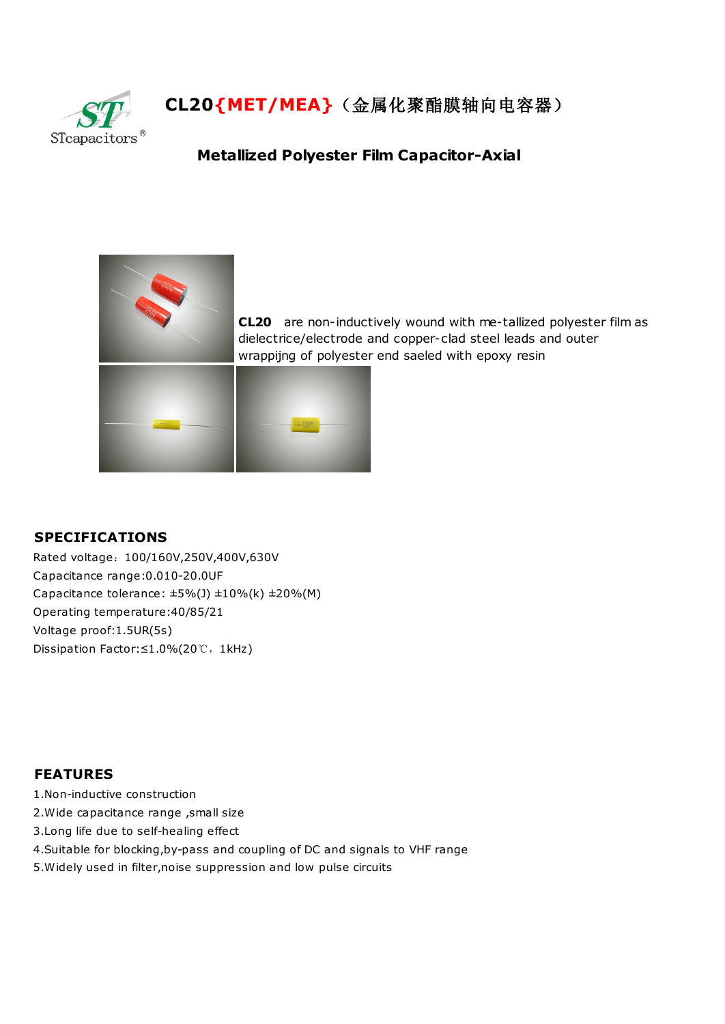

## **CL20{MET/MEA}**(金属化聚酯膜轴向电容器)

## **Metallized Polyester Film Capacitor-Axial**



**CL20** are non-inductively wound with me-tallized polyester film as dielectrice/electrode and copper-clad steel leads and outer wrappijng of polyester end saeled with epoxy resin

## **SPECIFICATIONS**

Rated voltage:100/160V,250V,400V,630V Capacitance range:0.010-20.0UF Capacitance tolerance:  $\pm 5\%$ (J)  $\pm 10\%$ (k)  $\pm 20\%$ (M) Operating temperature:40/85/21 Voltage proof:1.5UR(5s) Dissipation Factor:≤1.0%(20℃,1kHz)

## **FEATURES**

- 1.Non-inductive construction
- 2.Wide capacitance range ,small size
- 3.Long life due to self-healing effect
- 4.Suitable for blocking,by-pass and coupling of DC and signals to VHF range
- 5.Widely used in filter,noise suppression and low pulse circuits